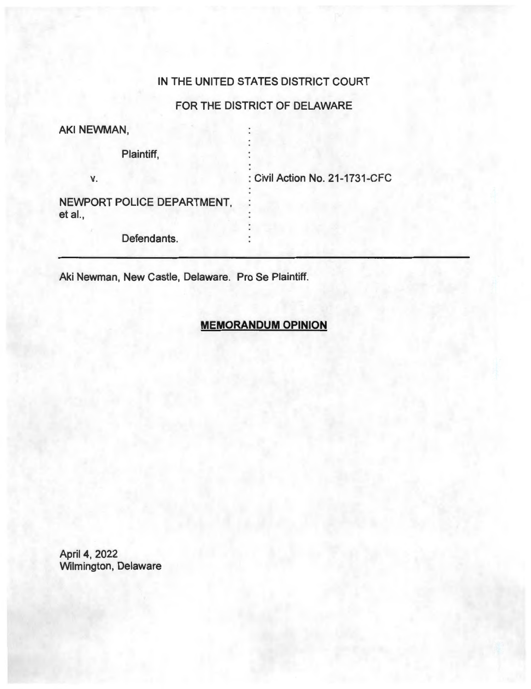### IN THE UNITED STATES DISTRICT COURT

# FOR THE DISTRICT OF DELAWARE

AKI NEWMAN,

Plaintiff,

**V.** 

: Civil Action No. 21-1731-CFC

NEWPORT POLICE DEPARTMENT, et al.,

Defendants.

Aki Newman, New Castle, Delaware. Pro Se Plaintiff.

## **MEMORANDUM OPINION**

April 4, 2022 Wilmington, Delaware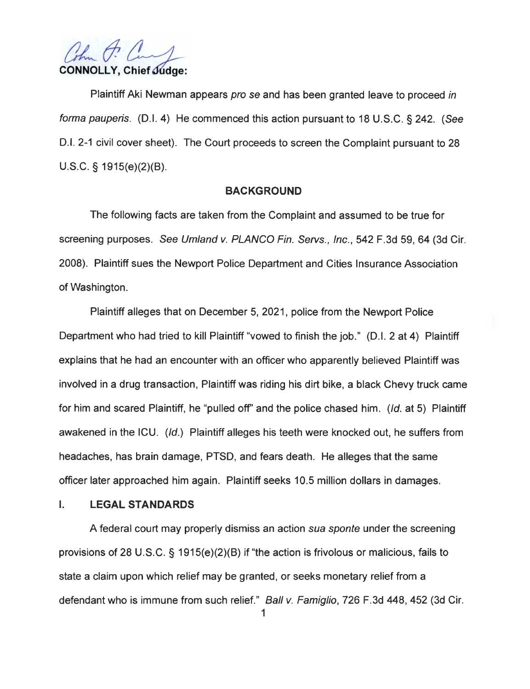(the P. **CONNOLLY, Chief Judge:** 

Plaintiff Aki Newman appears pro se and has been granted leave to proceed in forma pauperis. (0.1. 4) He commenced this action pursuant to 18 U.S.C. § 242. (See 0 .1. 2-1 civil cover sheet). The Court proceeds to screen the Complaint pursuant to 28 U.S.C. § 1915(e)(2)(B).

#### **BACKGROUND**

The following facts are taken from the Complaint and assumed to be true for screening purposes. See Umland v. PLANCO Fin. Servs., Inc. , 542 F.3d 59, 64 (3d Cir. 2008). Plaintiff sues the Newport Police Department and Cities Insurance Association of Washington.

Plaintiff alleges that on December 5, 2021, police from the Newport Police Department who had tried to kill Plaintiff "vowed to finish the job." (D.I. 2 at 4) Plaintiff explains that he had an encounter with an officer who apparently believed Plaintiff was involved in a drug transaction, Plaintiff was riding his dirt bike, a black Chevy truck came for him and scared Plaintiff, he "pulled off' and the police chased him. (Id. at 5) Plaintiff awakened in the ICU. (Id.) Plaintiff alleges his teeth were knocked out, he suffers from headaches, has brain damage, PTSD, and fears death. He alleges that the same officer later approached him again. Plaintiff seeks 10.5 million dollars in damages.

### I. **LEGAL STANDARDS**

A federal court may properly dismiss an action sua sponte under the screening provisions of 28 U.S.C. § 1915(e)(2)(B) if "the action is frivolous or malicious, fails to state a claim upon which relief may be granted, or seeks monetary relief from a defendant who is immune from such relief." Ball v. Famiglio, 726 F.3d 448, 452 (3d Cir.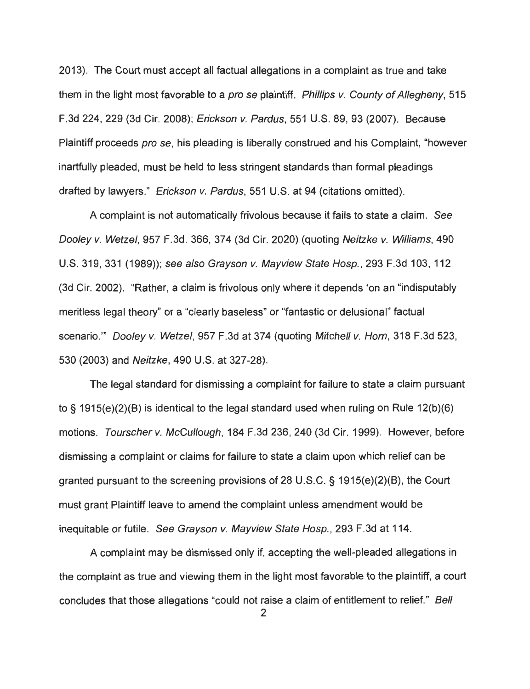2013). The Court must accept all factual allegations in a complaint as true and take them in the light most favorable to a *pro se* plaintiff. *Phillips v. County of Allegheny*, 515 F.3d 224, 229 (3d Cir. 2008); Erickson v. Pardus, 551 U.S. 89, 93 (2007). Because Plaintiff proceeds pro se, his pleading is liberally construed and his Complaint, "however inartfully pleaded, must be held to less stringent standards than formal pleadings drafted by lawyers." Erickson v. Pardus, 551 U.S. at 94 (citations omitted).

A complaint is not automatically frivolous because it fails to state a claim. See Dooley v. Wetzel, 957 F.3d. 366, 374 (3d Cir. 2020) (quoting Neitzke v. Williams, 490 U.S. 319,331 (1989)); see also Grayson v. Mayview State Hosp., 293 F.3d 103, 112 (3d Cir. 2002). "Rather, a claim is frivolous only where it depends 'on an "indisputably meritless legal theory" or a "clearly baseless" or "fantastic or delusional" factual scenario."' Dooley v. Wetzel, 957 F.3d at 374 (quoting Mitchell v. Hom, 318 F.3d 523, 530 (2003) and Neitzke, 490 U.S. at 327-28).

The legal standard for dismissing a complaint for failure to state a claim pursuant to§ 1915(e)(2)(B) is identical to the legal standard used when ruling on Rule 12(b)(6) motions. Tourscher v. McCullough, 184 F.3d 236, 240 (3d Cir. 1999). However, before dismissing a complaint or claims for failure to state a claim upon which relief can be granted pursuant to the screening provisions of 28 U.S.C. § 1915(e)(2)(B), the Court must grant Plaintiff leave to amend the complaint unless amendment would be inequitable or futile. See Grayson v. Mayview State Hosp., 293 F.3d at 114.

A complaint may be dismissed only if, accepting the well-pleaded allegations in the complaint as true and viewing them in the light most favorable to the plaintiff, a court concludes that those allegations "could not raise a claim of entitlement to relief." Bell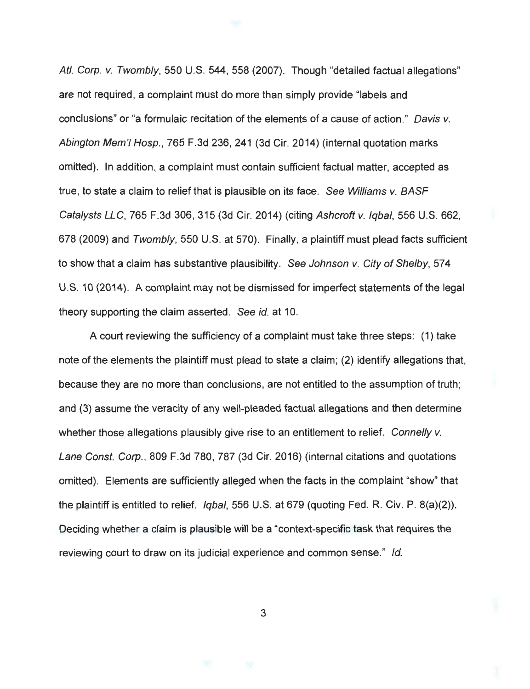Atl. Corp. v. Twombly, 550 U.S. 544, 558 (2007). Though "detailed factual allegations" are not required, a complaint must do more than simply provide "labels and conclusions" or "a formulaic recitation of the elements of a cause of action." Davis v. Abington Mem'I Hosp. , 765 F.3d 236, 241 (3d Cir. 2014) (internal quotation marks omitted). In addition, a complaint must contain sufficient factual matter, accepted as true, to state a claim to relief that is plausible on its face. See Williams v. BASF Catalysts LLC, 765 F.3d 306, 315 (3d Cir. 2014) (citing Ashcroft v. Iqbal, 556 U.S. 662, 678 (2009) and Twombly, 550 U.S. at 570). Finally, a plaintiff must plead facts sufficient to show that a claim has substantive plausibility. See Johnson v. City of Shelby, 574 U.S. 10 (2014). A complaint may not be dismissed for imperfect statements of the legal theory supporting the claim asserted. See id. at 10.

A court reviewing the sufficiency of a complaint must take three steps: (1) take note of the elements the plaintiff must plead to state a claim; (2) identify allegations that, because they are no more than conclusions, are not entitled to the assumption of truth ; and (3) assume the veracity of any well-pleaded factual allegations and then determine whether those allegations plausibly give rise to an entitlement to relief. Connelly v. Lane Const. Corp. , 809 F.3d 780, 787 (3d Cir. 2016) (internal citations and quotations omitted). Elements are sufficiently alleged when the facts in the complaint "show" that the plaintiff is entitled to relief. Iqbal, 556 U.S. at 679 (quoting Fed. R. Civ. P. 8(a)(2)). Deciding whether a claim is plausible will be a "context-specific task that requires the reviewing court to draw on its judicial experience and common sense." Id.

3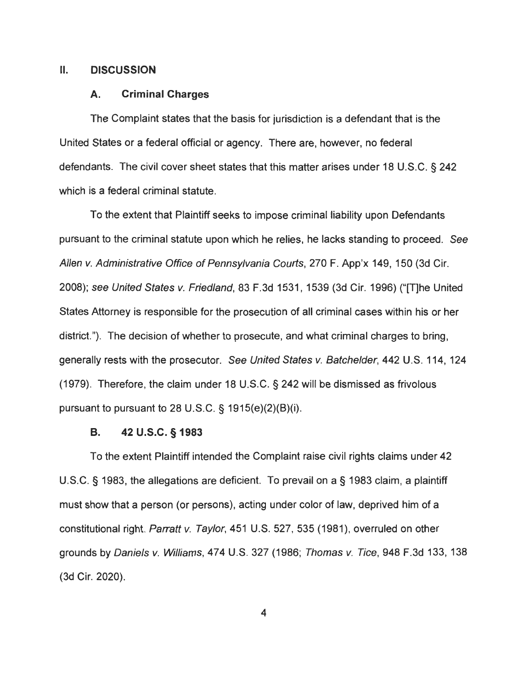#### II. **DISCUSSION**

#### **A. Criminal Charges**

The Complaint states that the basis for jurisdiction is a defendant that is the United States or a federal official or agency. There are, however, no federal defendants. The civil cover sheet states that this matter arises under 18 U.S.C. § 242 which is a federal criminal statute.

To the extent that Plaintiff seeks to impose criminal liability upon Defendants pursuant to the criminal statute upon which he relies, he lacks standing to proceed. See Allen v. Administrative Office of Pennsylvania Courts, 270 F. App'x 149, 150 (3d Cir. 2008); see United States v. Friedland, 83 F.3d 1531 , 1539 (3d Cir. 1996) ("[T)he United States Attorney is responsible for the prosecution of all criminal cases within his or her district."). The decision of whether to prosecute, and what criminal charges to bring, generally rests with the prosecutor. See United States v. Batchelder, 442 U.S. 114, 124 (1979). Therefore, the claim under 18 U.S.C. § 242 will be dismissed as frivolous pursuant to pursuant to 28 U.S.C. § 1915(e)(2)(B)(i).

#### **8. 42 u.s.c. § 1983**

To the extent Plaintiff intended the Complaint raise civil rights claims under 42 U.S.C. § 1983, the allegations are deficient. To prevail on a§ 1983 claim, a plaintiff must show that a person (or persons), acting under color of law, deprived him of a constitutional right. Parratt v. Taylor, 451 U.S. 527, 535 (1981), overruled on other grounds by Daniels v. Williams, 474 U.S. 327 (1986; Thomas v. Tice, 948 F.3d 133, 138 (3d Cir. 2020).

4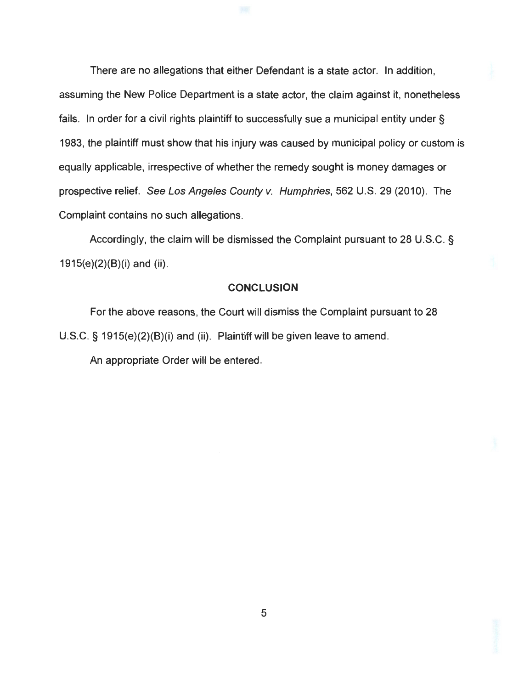There are no allegations that either Defendant is a state actor. In addition, assuming the New Police Department is a state actor, the claim against it, nonetheless fails. In order for a civil rights plaintiff to successfully sue a municipal entity under § 1983, the plaintiff must show that his injury was caused by municipal policy or custom is equally applicable, irrespective of whether the remedy sought is money damages or prospective relief. See Los Angeles County v. Humphries, 562 U.S. 29 (2010). The Complaint contains no such allegations.

Accordingly, the claim will be dismissed the Complaint pursuant to 28 U.S.C. § 1915(e)(2)(B)(i) and (ii).

#### **CONCLUSION**

For the above reasons, the Court will dismiss the Complaint pursuant to 28 U.S.C. § 1915(e)(2)(B)(i) and (ii). Plaintiff will be given leave to amend.

An appropriate Order will be entered.